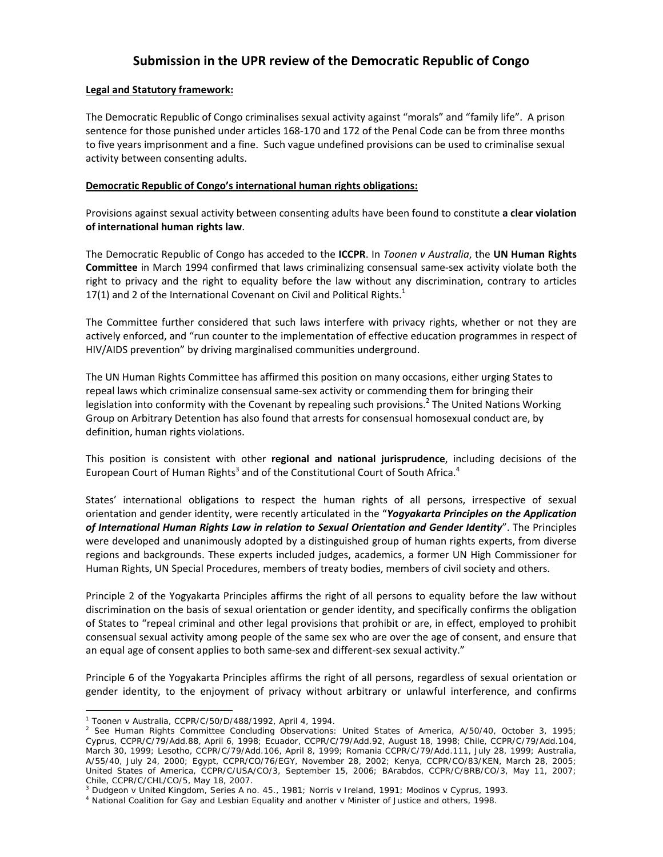# **Submission in the UPR review of the Democratic Republic of Congo**

## **Legal and Statutory framework:**

The Democratic Republic of Congo criminalises sexual activity against "morals" and "family life". A prison sentence for those punished under articles 168‐170 and 172 of the Penal Code can be from three months to five years imprisonment and a fine. Such vague undefined provisions can be used to criminalise sexual activity between consenting adults.

## **Democratic Republic of Congo's international human rights obligations:**

Provisions against sexual activity between consenting adults have been found to constitute **a clear violation of international human rights law**.

The Democratic Republic of Congo has acceded to the **ICCPR**. In *Toonen v Australia*, the **UN Human Rights Committee** in March 1994 confirmed that laws criminalizing consensual same‐sex activity violate both the right to privacy and the right to equality before the law without any discrimination, contrary to articles 17(1) and 2 of the International Covenant on Civil and Political Rights. $1$ 

The Committee further considered that such laws interfere with privacy rights, whether or not they are actively enforced, and "run counter to the implementation of effective education programmes in respect of HIV/AIDS prevention" by driving marginalised communities underground.

The UN Human Rights Committee has affirmed this position on many occasions, either urging States to repeal laws which criminalize consensual same‐sex activity or commending them for bringing their legislation into conformity with the Covenant by repealing such provisions.<sup>2</sup> The United Nations Working Group on Arbitrary Detention has also found that arrests for consensual homosexual conduct are, by definition, human rights violations.

This position is consistent with other **regional and national jurisprudence**, including decisions of the European Court of Human Rights<sup>3</sup> and of the Constitutional Court of South Africa.<sup>4</sup>

States' international obligations to respect the human rights of all persons, irrespective of sexual orientation and gender identity, were recently articulated in the "*Yogyakarta Principles on the Application of International Human Rights Law in relation to Sexual Orientation and Gender Identity*". The Principles were developed and unanimously adopted by a distinguished group of human rights experts, from diverse regions and backgrounds. These experts included judges, academics, a former UN High Commissioner for Human Rights, UN Special Procedures, members of treaty bodies, members of civil society and others.

Principle 2 of the Yogyakarta Principles affirms the right of all persons to equality before the law without discrimination on the basis of sexual orientation or gender identity, and specifically confirms the obligation of States to "repeal criminal and other legal provisions that prohibit or are, in effect, employed to prohibit consensual sexual activity among people of the same sex who are over the age of consent, and ensure that an equal age of consent applies to both same‐sex and different‐sex sexual activity."

Principle 6 of the Yogyakarta Principles affirms the right of all persons, regardless of sexual orientation or gender identity, to the enjoyment of privacy without arbitrary or unlawful interference, and confirms

 $\overline{a}$ 

<sup>1</sup> *Toonen* v *Australia*, CCPR/C/50/D/488/1992, April 4, 1994. 2

 $^2$  See Human Rights Committee Concluding Observations: United States of America, A/50/40, October 3, 1995; Cyprus, CCPR/C/79/Add.88, April 6, 1998; Ecuador, CCPR/C/79/Add.92, August 18, 1998; Chile, CCPR/C/79/Add.104, March 30, 1999; Lesotho, CCPR/C/79/Add.106, April 8, 1999; Romania CCPR/C/79/Add.111, July 28, 1999; Australia, A/55/40, July 24, 2000; Egypt, CCPR/CO/76/EGY, November 28, 2002; Kenya, CCPR/CO/83/KEN, March 28, 2005; United States of America, CCPR/C/USA/CO/3, September 15, 2006; BArabdos, CCPR/C/BRB/CO/3, May 11, 2007; Chile, CCPR/C/CHL/CO/5, May 18, 2007.

<sup>&</sup>lt;sup>3</sup> Dudgeon v United Kingdom, Series A no. 45., 1981; Norris v Ireland, 1991; Modinos v Cyprus, 1993.<br><sup>4</sup> National Coalition for Gay and Lesbian Equality and another v Minister of Justice and others, 1998.